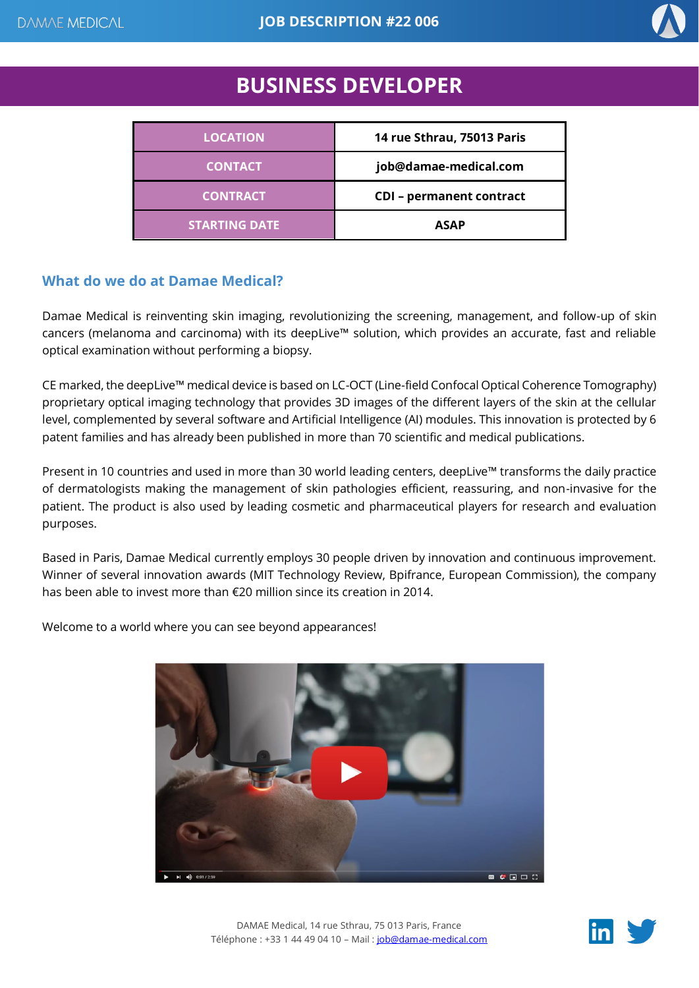

# **BUSINESS DEVELOPER**

| <b>LOCATION</b>      | 14 rue Sthrau, 75013 Paris      |
|----------------------|---------------------------------|
| <b>CONTACT</b>       | job@damae-medical.com           |
| <b>CONTRACT</b>      | <b>CDI</b> - permanent contract |
| <b>STARTING DATE</b> | <b>ASAP</b>                     |

### **What do we do at Damae Medical?**

Damae Medical is reinventing skin imaging, revolutionizing the screening, management, and follow-up of skin cancers (melanoma and carcinoma) with its deepLive™ solution, which provides an accurate, fast and reliable optical examination without performing a biopsy.

CE marked, the deepLive™ medical device is based on LC-OCT (Line-field Confocal Optical Coherence Tomography) proprietary optical imaging technology that provides 3D images of the different layers of the skin at the cellular level, complemented by several software and Artificial Intelligence (AI) modules. This innovation is protected by 6 patent families and has already been published in more than 70 scientific and medical publications.

Present in 10 countries and used in more than 30 world leading centers, deepLive™ transforms the daily practice of dermatologists making the management of skin pathologies efficient, reassuring, and non-invasive for the patient. The product is also used by leading cosmetic and pharmaceutical players for research and evaluation purposes.

Based in Paris, Damae Medical currently employs 30 people driven by innovation and continuous improvement. Winner of several innovation awards (MIT Technology Review, Bpifrance, European Commission), the company has been able to invest more than €20 million since its creation in 2014.

Welcome to a world where you can see beyond appearances!